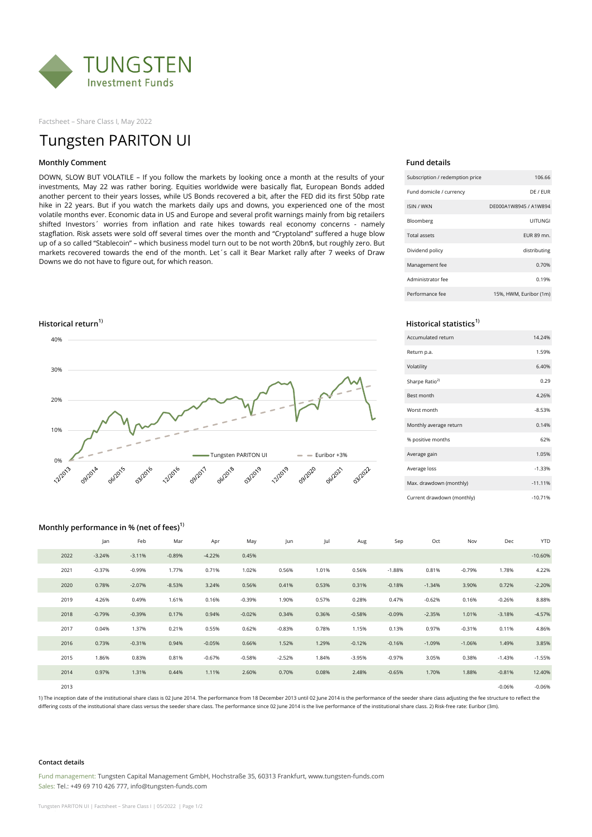

Factsheet – Share Class I, May 2022

# Tungsten PARITON UI

# **Monthly Comment Fund details**

DOWN, SLOW BUT VOLATILE – If you follow the markets by looking once a month at the results of your investments, May 22 was rather boring. Equities worldwide were basically flat, European Bonds added another percent to their years losses, while US Bonds recovered a bit, after the FED did its first 50bp rate hike in 22 years. But if you watch the markets daily ups and downs, you experienced one of the most volatile months ever. Economic data in US and Europe and several profit warnings mainly from big retailers shifted Investors´ worries from inflation and rate hikes towards real economy concerns - namely stagflation. Risk assets were sold off several times over the month and "Cryptoland" suffered a huge blow up of a so called "Stablecoin" – which business model turn out to be not worth 20bn\$, but roughly zero. But markets recovered towards the end of the month. Let´s call it Bear Market rally after 7 weeks of Draw Downs we do not have to figure out, for which reason.





| Subscription / redemption price | 106.66                 |
|---------------------------------|------------------------|
| Fund domicile / currency        | DF / FUR               |
| <b>ISIN / WKN</b>               | DF000A1W8945 / A1W894  |
| Bloomberg                       | UITUNGI                |
| <b>Total assets</b>             | FUR 89 mn.             |
| Dividend policy                 | distributing           |
| Management fee                  | 0.70%                  |
| Administrator fee               | 0.19%                  |
| Performance fee                 | 15%, HWM, Euribor (1m) |

| Accumulated return         | 14.24%     |
|----------------------------|------------|
| Return p.a.                | 1.59%      |
| Volatility                 | 6.40%      |
| Sharpe Ratio <sup>2)</sup> | 0.29       |
| <b>Best month</b>          | 4.26%      |
| Worst month                | $-8.53%$   |
| Monthly average return     | 0.14%      |
| % positive months          | 62%        |
| Average gain               | 1.05%      |
| Average loss               | $-1.33%$   |
| Max. drawdown (monthly)    | $-11.1196$ |
| Current drawdown (monthly) | $-10.71%$  |

# **Monthly performance in % (net of fees)1)**

|      | Jan      | Feb      | Mar      | Apr      | May      | Jun      | Jul   | Aug      | Sep      | Oct      | Nov      | Dec      | <b>YTD</b> |
|------|----------|----------|----------|----------|----------|----------|-------|----------|----------|----------|----------|----------|------------|
| 2022 | $-3.24%$ | $-3.11%$ | $-0.89%$ | $-4.22%$ | 0.45%    |          |       |          |          |          |          |          | $-10.60%$  |
| 2021 | $-0.37%$ | $-0.99%$ | 1.77%    | 0.71%    | 1.02%    | 0.56%    | 1.01% | 0.56%    | $-1.88%$ | 0.81%    | $-0.79%$ | 1.78%    | 4.22%      |
| 2020 | 0.78%    | $-2.07%$ | $-8.53%$ | 3.24%    | 0.56%    | 0.41%    | 0.53% | 0.31%    | $-0.18%$ | $-1.34%$ | 3.90%    | 0.72%    | $-2.20%$   |
| 2019 | 4.26%    | 0.49%    | 1.61%    | 0.16%    | $-0.39%$ | 1.90%    | 0.57% | 0.28%    | 0.47%    | $-0.62%$ | 0.16%    | $-0.26%$ | 8.88%      |
| 2018 | $-0.79%$ | $-0.39%$ | 0.17%    | 0.94%    | $-0.02%$ | 0.34%    | 0.36% | $-0.58%$ | $-0.09%$ | $-2.35%$ | 1.01%    | $-3.18%$ | $-4.57%$   |
| 2017 | 0.04%    | 1.37%    | 0.21%    | 0.55%    | 0.62%    | $-0.83%$ | 0.78% | 1.15%    | 0.13%    | 0.97%    | $-0.31%$ | 0.11%    | 4.86%      |
| 2016 | 0.73%    | $-0.31%$ | 0.94%    | $-0.05%$ | 0.66%    | 1.52%    | 1.29% | $-0.12%$ | $-0.16%$ | $-1.09%$ | $-1.06%$ | 1.49%    | 3.85%      |
| 2015 | 1.86%    | 0.83%    | 0.81%    | $-0.67%$ | $-0.58%$ | $-2.52%$ | 1.84% | $-3.95%$ | $-0.97%$ | 3.05%    | 0.38%    | $-1.43%$ | $-1.55%$   |
| 2014 | 0.97%    | 1.31%    | 0.44%    | 1.11%    | 2.60%    | 0.70%    | 0.08% | 2.48%    | $-0.65%$ | 1.70%    | 1.88%    | $-0.81%$ | 12.40%     |
| 2013 |          |          |          |          |          |          |       |          |          |          |          | $-0.06%$ | $-0.06%$   |

1) The inception date of the institutional share class is 02 June 2014. The performance from 18 December 2013 until 02 June 2014 is the performance of the seeder share class adjusting the fee structure to reflect the differing costs of the institutional share class versus the seeder share class. The performance since 02 June 2014 is the live performance of the institutional share class. 2) Risk-free rate: Euribor (3m).

### **Contact details**

Fund management: Tungsten Capital Management GmbH, Hochstraße 35, 60313 Frankfurt, www.tungsten-funds.com Sales: Tel.: +49 69 710 426 777, info@tungsten-funds.com